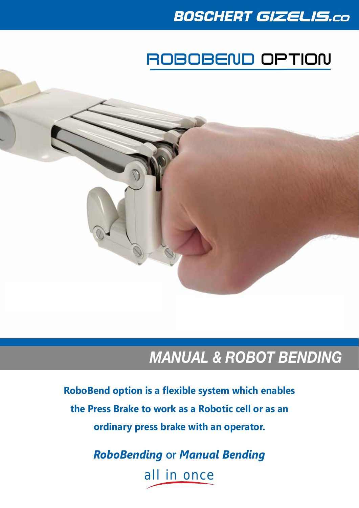### **BOSCHERT GIZELIS.co**

## ROBOBEND OPTION

### *MANUAL & ROBOT BENDING*

**RoboBend option is a flexible system which enables the Press Brake to work as a Robotic cell or as an ordinary press brake with an operator.**

> *RoboBending* **or** *Manual Bending* all in once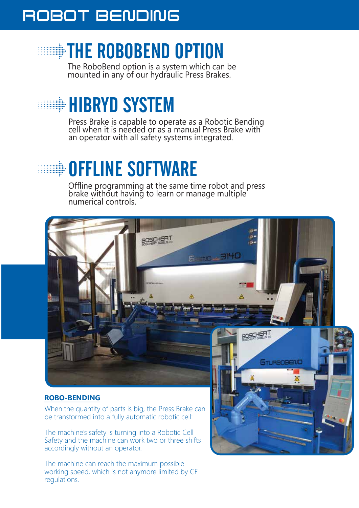### ROBOT BENDING ROBOT BENDING

# **EXAMPLE ROBOBEND OPTION**

The RoboBend option is a system which can be mounted in any of our hydraulic Press Brakes.

# **HIBRYD SYSTEM**

Press Brake is capable to operate as a Robotic Bending cell when it is needed or as a manual Press Brake with an operator with all safety systems integrated.

# **OFFLINE SOFTWARE**

Offline programming at the same time robot and press brake without having to learn or manage multiple numerical controls.



#### **ROBO-BENDING**

When the quantity of parts is big, the Press Brake can be transformed into a fully automatic robotic cell:

The machine's safety is turning into a Robotic Cell Safety and the machine can work two or three shifts accordingly without an operator.

The machine can reach the maximum possible working speed, which is not anymore limited by CE regulations.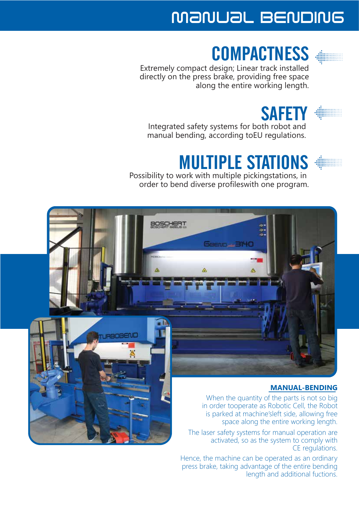## manual BENDING

## **COMPACTNESS**

Extremely compact design; Linear track installed directly on the press brake, providing free space along the entire working length.

#### **SAFETY**

Integrated safety systems for both robot and manual bending, according toEU regulations.

# MULTIPLE STATIONS

Possibility to work with multiple pickingstations, in order to bend diverse profileswith one program.



#### **MANUAL-BENDING**

When the quantity of the parts is not so big in order tooperate as Robotic Cell, the Robot is parked at machine'sleft side, allowing free space along the entire working length.

The laser safety systems for manual operation are activated, so as the system to comply with CE regulations.

Hence, the machine can be operated as an ordinary press brake, taking advantage of the entire bending length and additional fuctions.